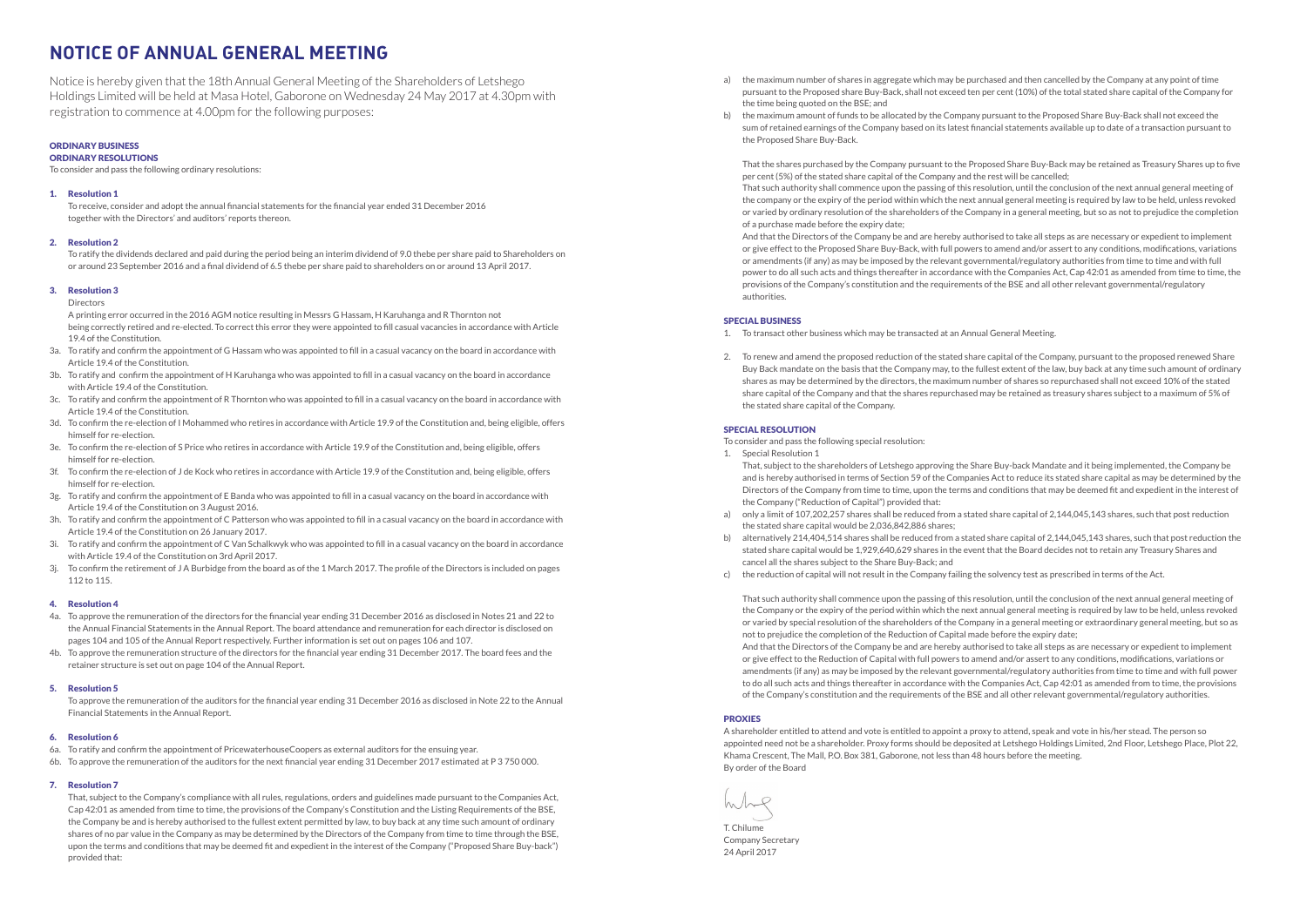# **NOTICE OF ANNUAL GENERAL MEETING**

Notice is hereby given that the 18th Annual General Meeting of the Shareholders of Letshego Holdings Limited will be held at Masa Hotel, Gaborone on Wednesday 24 May 2017 at 4.30pm with registration to commence at 4.00pm for the following purposes:

## ORDINARY BUSINESS

## ORDINARY RESOLUTIONS

To consider and pass the following ordinary resolutions:

#### 1. Resolution 1

 To receive, consider and adopt the annual financial statements for the financial year ended 31 December 2016 together with the Directors' and auditors' reports thereon.

#### 2. Resolution 2

 To ratify the dividends declared and paid during the period being an interim dividend of 9.0 thebe per share paid to Shareholders on or around 23 September 2016 and a final dividend of 6.5 thebe per share paid to shareholders on or around 13 April 2017.

#### 3. Resolution 3

 Directors

 A printing error occurred in the 2016 AGM notice resulting in Messrs G Hassam, H Karuhanga and R Thornton not being correctly retired and re-elected. To correct this error they were appointed to fill casual vacancies in accordance with Article 19.4 of the Constitution.

- 3a. To ratify and confirm the appointment of G Hassam who was appointed to fill in a casual vacancy on the board in accordance with Article 19.4 of the Constitution.
- 3b. To ratify and confirm the appointment of H Karuhanga who was appointed to fill in a casual vacancy on the board in accordance with Article 19.4 of the Constitution.
- 3c. To ratify and confirm the appointment of R Thornton who was appointed to fill in a casual vacancy on the board in accordance with Article 19.4 of the Constitution.
- 3d. To confirm the re-election of I Mohammed who retires in accordance with Article 19.9 of the Constitution and, being eligible, offers himself for re-election.
- 3e. To confirm the re-election of S Price who retires in accordance with Article 19.9 of the Constitution and, being eligible, offers himself for re-election.
- 3f. To confirm the re-election of J de Kock who retires in accordance with Article 19.9 of the Constitution and, being eligible, offers himself for re-election.
- 3g. To ratify and confirm the appointment of E Banda who was appointed to fill in a casual vacancy on the board in accordance with Article 19.4 of the Constitution on 3 August 2016.
- 3h. To ratify and confirm the appointment of C Patterson who was appointed to fill in a casual vacancy on the board in accordance with Article 19.4 of the Constitution on 26 January 2017.
- 3i. To ratify and confirm the appointment of C Van Schalkwyk who was appointed to fill in a casual vacancy on the board in accordance with Article 19.4 of the Constitution on 3rd April 2017.
- 3j. To confirm the retirement of J A Burbidge from the board as of the 1 March 2017. The profile of the Directors is included on pages 112 to 115.
- a) the maximum number of shares in aggregate which may be purchased and then cancelled by the Company at any point of time the time being quoted on the BSE; and
- b) the maximum amount of funds to be allocated by the Company pursuant to the Proposed Share Buy-Back shall not exceed the sum of retained earnings of the Company based on its latest financial statements available up to date of a transaction pursuant to the Proposed Share Buy-Back.

## 4. Resolution 4

- 4a. To approve the remuneration of the directors for the financial year ending 31 December 2016 as disclosed in Notes 21 and 22 to the Annual Financial Statements in the Annual Report. The board attendance and remuneration for each director is disclosed on pages 104 and 105 of the Annual Report respectively. Further information is set out on pages 106 and 107.
- 4b. To approve the remuneration structure of the directors for the financial year ending 31 December 2017. The board fees and the retainer structure is set out on page 104 of the Annual Report.

## 5. Resolution 5

 To approve the remuneration of the auditors for the financial year ending 31 December 2016 as disclosed in Note 22 to the Annual Financial Statements in the Annual Report.

#### 6. Resolution 6

- 6a. To ratify and confirm the appointment of PricewaterhouseCoopers as external auditors for the ensuing year.
- 6b. To approve the remuneration of the auditors for the next financial year ending 31 December 2017 estimated at P 3 750 000.

## 7. Resolution 7

 That, subject to the Company's compliance with all rules, regulations, orders and guidelines made pursuant to the Companies Act, Cap 42:01 as amended from time to time, the provisions of the Company's Constitution and the Listing Requirements of the BSE, the Company be and is hereby authorised to the fullest extent permitted by law, to buy back at any time such amount of ordinary shares of no par value in the Company as may be determined by the Directors of the Company from time to time through the BSE, upon the terms and conditions that may be deemed fit and expedient in the interest of the Company ("Proposed Share Buy-back") provided that:

 pursuant to the Proposed share Buy-Back, shall not exceed ten per cent (10%) of the total stated share capital of the Company for

 That the shares purchased by the Company pursuant to the Proposed Share Buy-Back may be retained as Treasury Shares up to five per cent (5%) of the stated share capital of the Company and the rest will be cancelled; That such authority shall commence upon the passing of this resolution, until the conclusion of the next annual general meeting of the company or the expiry of the period within which the next annual general meeting is required by law to be held, unless revoked or varied by ordinary resolution of the shareholders of the Company in a general meeting, but so as not to prejudice the completion of a purchase made before the expiry date;

 And that the Directors of the Company be and are hereby authorised to take all steps as are necessary or expedient to implement or give effect to the Proposed Share Buy-Back, with full powers to amend and/or assert to any conditions, modifications, variations or amendments (if any) as may be imposed by the relevant governmental/regulatory authorities from time to time and with full power to do all such acts and things thereafter in accordance with the Companies Act, Cap 42:01 as amended from time to time, the provisions of the Company's constitution and the requirements of the BSE and all other relevant governmental/regulatory authorities.

#### SPECIAL BUSINESS

 Buy Back mandate on the basis that the Company may, to the fullest extent of the law, buy back at any time such amount of ordinary

- 1. To transact other business which may be transacted at an Annual General Meeting.
- 2. To renew and amend the proposed reduction of the stated share capital of the Company, pursuant to the proposed renewed Share shares as may be determined by the directors, the maximum number of shares so repurchased shall not exceed 10% of the stated share capital of the Company and that the shares repurchased may be retained as treasury shares subject to a maximum of 5% of the stated share capital of the Company.

#### SPECIAL RESOLUTION

To consider and pass the following special resolution:

- 1. Special Resolution 1
- That, subject to the shareholders of Letshego approving the Share Buy-back Mandate and it being implemented, the Company be the Company ("Reduction of Capital") provided that:
- a) only a limit of 107,202,257 shares shall be reduced from a stated share capital of 2,144,045,143 shares, such that post reduction the stated share capital would be 2,036,842,886 shares;
- b) alternatively 214,404,514 shares shall be reduced from a stated share capital of 2,144,045,143 shares, such that post reduction the stated share capital would be 1,929,640,629 shares in the event that the Board decides not to retain any Treasury Shares and cancel all the shares subject to the Share Buy-Back; and
- c) the reduction of capital will not result in the Company failing the solvency test as prescribed in terms of the Act.

 and is hereby authorised in terms of Section 59 of the Companies Act to reduce its stated share capital as may be determined by the Directors of the Company from time to time, upon the terms and conditions that may be deemed fit and expedient in the interest of

 That such authority shall commence upon the passing of this resolution, until the conclusion of the next annual general meeting of the Company or the expiry of the period within which the next annual general meeting is required by law to be held, unless revoked or varied by special resolution of the shareholders of the Company in a general meeting or extraordinary general meeting, but so as not to prejudice the completion of the Reduction of Capital made before the expiry date; And that the Directors of the Company be and are hereby authorised to take all steps as are necessary or expedient to implement or give effect to the Reduction of Capital with full powers to amend and/or assert to any conditions, modifications, variations or amendments (if any) as may be imposed by the relevant governmental/regulatory authorities from time to time and with full power to do all such acts and things thereafter in accordance with the Companies Act, Cap 42:01 as amended from to time, the provisions of the Company's constitution and the requirements of the BSE and all other relevant governmental/regulatory authorities.

## PROXIES

A shareholder entitled to attend and vote is entitled to appoint a proxy to attend, speak and vote in his/her stead. The person so appointed need not be a shareholder. Proxy forms should be deposited at Letshego Holdings Limited, 2nd Floor, Letshego Place, Plot 22, Khama Crescent, The Mall, P.O. Box 381, Gaborone, not less than 48 hours before the meeting. By order of the Board

T. Chilume Company Secretary 24 April 2017